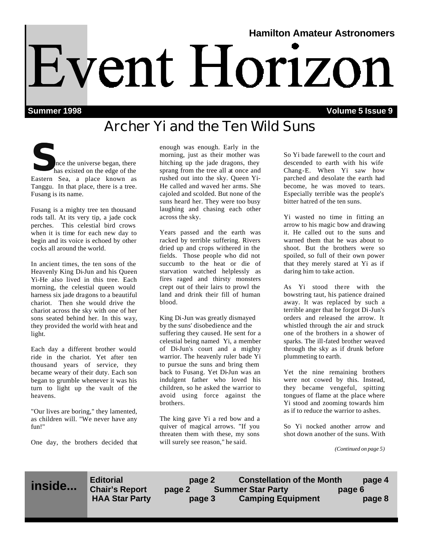# **Hamilton Amateur Astronomers** Event Horizon

**Summer 1998 Volume 5 Issue 9**

# **Archer Yi and the Ten Wild Suns**

Solen interest began, there has existed on the edge of the Eastern Sea a place known as Eastern Sea, a place known as Tanggu. In that place, there is a tree. Fusang is its name.

Fusang is a mighty tree ten thousand rods tall. At its very tip, a jade cock perches. This celestial bird crows when it is time for each new day to begin and its voice is echoed by other cocks all around the world.

In ancient times, the ten sons of the Heavenly King Di-Jun and his Queen Yi-He also lived in this tree. Each morning, the celestial queen would harness six jade dragons to a beautiful chariot. Then she would drive the chariot across the sky with one of her sons seated behind her. In this way, they provided the world with heat and light.

Each day a different brother would ride in the chariot. Yet after ten thousand years of service, they became weary of their duty. Each son began to grumble whenever it was his turn to light up the vault of the heavens.

"Our lives are boring," they lamented, as children will. "We never have any fun!"

One day, the brothers decided that

enough was enough. Early in the morning, just as their mother was hitching up the jade dragons, they sprang from the tree all at once and rushed out into the sky. Queen Yi-He called and waved her arms. She cajoled and scolded. But none of the suns heard her. They were too busy laughing and chasing each other across the sky.

Years passed and the earth was racked by terrible suffering. Rivers dried up and crops withered in the fields. Those people who did not succumb to the heat or die of starvation watched helplessly as fires raged and thirsty monsters crept out of their lairs to prowl the land and drink their fill of human blood.

King Di-Jun was greatly dismayed by the suns' disobedience and the suffering they caused. He sent for a celestial being named Yi, a member of Di-Jun's court and a mighty warrior. The heavenly ruler bade Yi to pursue the suns and bring them back to Fusang. Yet Di-Jun was an indulgent father who loved his children, so he asked the warrior to avoid using force against the brothers.

The king gave Yi a red bow and a quiver of magical arrows. "If you threaten them with these, my sons will surely see reason," he said.

So Yi bade farewell to the court and descended to earth with his wife Chang-E. When Yi saw how parched and desolate the earth had become, he was moved to tears. Especially terrible was the people's bitter hatred of the ten suns.

Yi wasted no time in fitting an arrow to his magic bow and drawing it. He called out to the suns and warned them that he was about to shoot. But the brothers were so spoiled, so full of their own power that they merely stared at Yi as if daring him to take action.

As Yi stood there with the bowstring taut, his patience drained away. It was replaced by such a terrible anger that he forgot Di-Jun's orders and released the arrow. It whistled through the air and struck one of the brothers in a shower of sparks. The ill-fated brother weaved through the sky as if drunk before plummeting to earth.

Yet the nine remaining brothers were not cowed by this. Instead, they became vengeful, spitting tongues of flame at the place where Yi stood and zooming towards him as if to reduce the warrior to ashes.

So Yi nocked another arrow and shot down another of the suns. With

*(Continued on page 5)*

**inside...**

**Editorial page 2 Constellation of the Month page 4 Chair's Report page 2 Summer Star Party page 6**  page 3 Camping Equipment **page 8**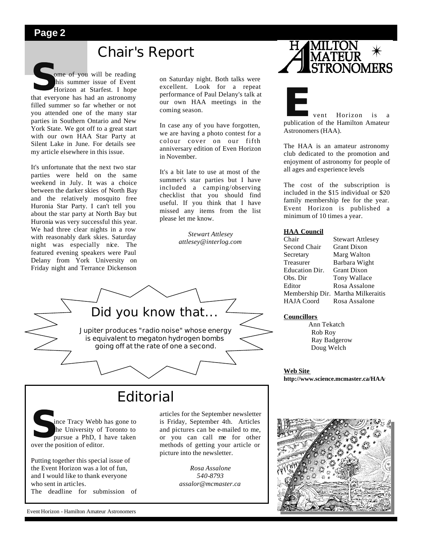## **Chair's Report**

**S**ome of you will be reading<br>
this summer issue of Event<br>
Horizon at Starfest. I hope<br>
that everyone has had an astronomy ome of you will be reading this summer issue of Event Horizon at Starfest. I hope filled summer so far whether or not you attended one of the many star parties in Southern Ontario and New York State. We got off to a great start with our own HAA Star Party at Silent Lake in June. For details see my article elsewhere in this issue.

It's unfortunate that the next two star parties were held on the same weekend in July. It was a choice between the darker skies of North Bay and the relatively mosquito free Huronia Star Party. I can't tell you about the star party at North Bay but Huronia was very successful this year. We had three clear nights in a row with reasonably dark skies. Saturday night was especially nice. The featured evening speakers were Paul Delany from York University on Friday night and Terrance Dickenson

on Saturday night. Both talks were excellent. Look for a repeat performance of Paul Delany's talk at our own HAA meetings in the coming season.

In case any of you have forgotten, we are having a photo contest for a colour cover on our fifth anniversary edition of Even Horizon in November.

It's a bit late to use at most of the summer's star parties but I have included a camping/observing checklist that you should find useful. If you think that I have missed any items from the list please let me know.

> *Stewart Attlesey attlesey@interlog.com*



## **Editorial**

Solution of the University of the University of the position of editor. ince Tracy Webb has gone to the University of Toronto to pursue a PhD, I have taken

Putting together this special issue of the Event Horizon was a lot of fun, and I would like to thank everyone who sent in articles. The deadline for submission of articles for the September newsletter is Friday, September 4th. Articles and pictures can be e-mailed to me, or you can call me for other methods of getting your article or picture into the newsletter.

> *Rosa Assalone 540-8793 assalor@mcmaster.ca*



**External Structure 1.5 Format Property**<br>
publication of the Hamilton Amateur Astronomers (HAA).

The HAA is an amateur astronomy club dedicated to the promotion and enjoyment of astronomy for people of all ages and experience levels

The cost of the subscription is included in the \$15 individual or \$20 family membership fee for the year. Event Horizon is published a minimum of 10 times a year.

#### **HAA Council**

| Chair             | <b>Stewart Attlesey</b>            |
|-------------------|------------------------------------|
| Second Chair      | <b>Grant Dixon</b>                 |
| Secretary         | Marg Walton                        |
| Treasurer         | Barbara Wight                      |
| Education Dir.    | <b>Grant Dixon</b>                 |
| Obs. Dir          | Tony Wallace                       |
| Editor            | Rosa Assalone                      |
|                   | Membership Dir. Martha Milkeraitis |
| <b>HAJA</b> Coord | Rosa Assalone                      |

#### **Councillors**

 Ann Tekatch Rob Roy Ray Badgerow Doug Welch

**Web Site http://www.science.mcmaster.ca/HAA/** 

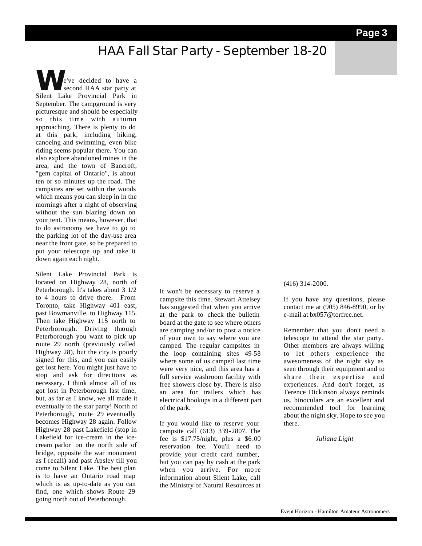## **HAA Fall Star Party - September 18-20**

**W**e've decided to have a second HAA star party at Silent Lake Provincial Park in September. The campground is very picturesque and should be especially so this time with autumn approaching. There is plenty to do at this park, including hiking, canoeing and swimming, even bike riding seems popular there. You can also explore abandoned mines in the area, and the town of Bancroft, "gem capital of Ontario", is about ten or so minutes up the road. The campsites are set within the woods which means you can sleep in in the mornings after a night of observing without the sun blazing down on your tent. This means, however, that to do astronomy we have to go to the parking lot of the day-use area near the front gate, so be prepared to put your telescope up and take it down again each night.

Silent Lake Provincial Park is located on Highway 28, north of Peterborough. It's takes about 3 1/2 to 4 hours to drive there. From Toronto, take Highway 401 east, past Bowmanville, to Highway 115. Then take Highway 115 north to Peterborough. Driving through Peterborough you want to pick up route 29 north (previously called Highway 28), but the city is poorly signed for this, and you can easily get lost here. You might just have to stop and ask for directions as necessary. I think almost all of us got lost in Peterborough last time, but, as far as I know, we all made it eventually to the star party! North of Peterborough, route 29 eventually becomes Highway 28 again. Follow Highway 28 past Lakefield (stop in Lakefield for ice-cream in the icecream parlor on the north side of bridge, opposite the war monument as I recall) and past Apsley till you come to Silent Lake. The best plan is to have an Ontario road map which is as up-to-date as you can find, one which shows Route 29 going north out of Peterborough.

It won't be necessary to reserve a campsite this time. Stewart Attelsey has suggested that when you arrive at the park to check the bulletin board at the gate to see where others are camping and/or to post a notice of your own to say where you are camped. The regular campsites in the loop containing sites 49-58 where some of us camped last time were very nice, and this area has a full service washroom facility with free showers close by. There is also an area for trailers which has electrical hookups in a different part of the park.

If you would like to reserve your campsite call (613) 339-2807. The fee is \$17.75/night, plus a \$6.00 reservation fee. You'll need to provide your credit card number, but you can pay by cash at the park when you arrive. For mo re information about Silent Lake, call the Ministry of Natural Resources at

#### (416) 314-2000.

If you have any questions, please contact me at (905) 846-8990, or by e-mail at bx057@torfree.net.

Remember that you don't need a telescope to attend the star party. Other members are always willing to let others experience the awesomeness of the night sky as seen through their equipment and to share their expertise and experiences. And don't forget, as Terence Dickinson always reminds us, binoculars are an excellent and recommended tool for learning about the night sky. Hope to see you there.

*Juliana Light*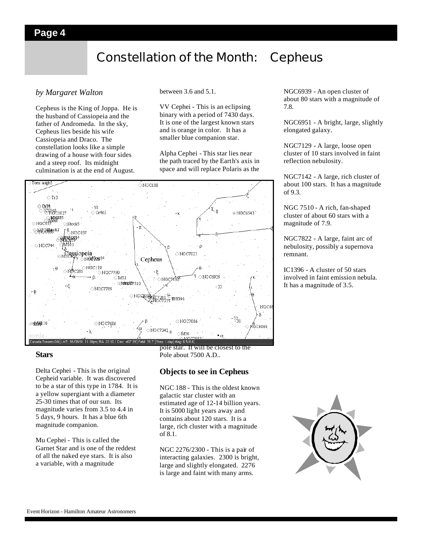## **Constellation of the Month: Cepheus**

#### *by Margaret Walton*

Cepheus is the King of Joppa. He is the husband of Cassiopeia and the father of Andromeda. In the sky, Cepheus lies beside his wife Cassiopeia and Draco. The constellation looks like a simple drawing of a house with four sides and a steep roof. Its midnight culmination is at the end of August.

between 3.6 and 5.1.

VV Cephei - This is an eclipsing binary with a period of 7430 days. It is one of the largest known stars and is orange in color. It has a smaller blue companion star.

Alpha Cephei - This star lies near the path traced by the Earth's axis in space and will replace Polaris as the



#### **Stars**

Delta Cephei - This is the original Cepheid variable. It was discovered to be a star of this type in 1784. It is a yellow supergiant with a diameter 25-30 times that of our sun. Its magnitude varies from 3.5 to 4.4 in 5 days, 9 hours. It has a blue 6th magnitude companion.

Mu Cephei - This is called the Garnet Star and is one of the reddest of all the naked eye stars. It is also a variable, with a magnitude

pole star. It will be closest to the Pole about 7500 A.D..

#### **Objects to see in Cepheus**

NGC 188 - This is the oldest known galactic star cluster with an estimated age of 12-14 billion years. It is 5000 light years away and contains about 120 stars. It is a large, rich cluster with a magnitude of 8.1.

NGC 2276/2300 - This is a pair of interacting galaxies. 2300 is bright, large and slightly elongated. 2276 is large and faint with many arms.

NGC6939 - An open cluster of about 80 stars with a magnitude of 7.8.

NGC6951 - A bright, large, slightly elongated galaxy.

NGC7129 - A large, loose open cluster of 10 stars involved in faint reflection nebulosity.

NGC7142 - A large, rich cluster of about 100 stars. It has a magnitude of 9.3.

NGC 7510 - A rich, fan-shaped cluster of about 60 stars with a magnitude of 7.9.

NGC7822 - A large, faint arc of nebulosity, possibly a supernova remnant.

IC1396 - A cluster of 50 stars involved in faint emission nebula. It has a magnitude of 3.5.

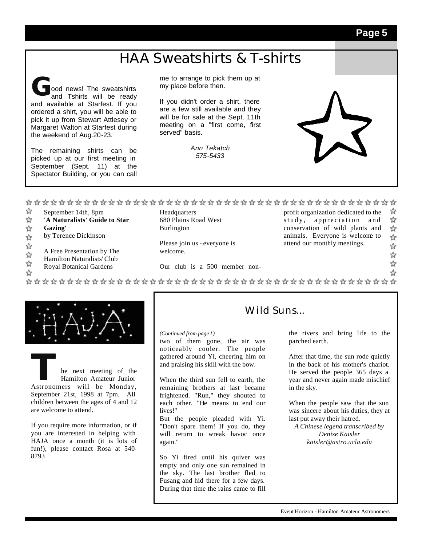## **HAA Sweatshirts & T-shirts**

**G**ood news! The sweatshirts and Tshirts will be ready and available at Starfest. If you ordered a shirt, you will be able to pick it up from Stewart Attlesey or Margaret Walton at Starfest during the weekend of Aug.20-23.

The remaining shirts can be picked up at our first meeting in September (Sept. 11) at the Spectator Building, or you can call

me to arrange to pick them up at my place before then.

If you didn't order a shirt, there are a few still available and they will be for sale at the Sept. 11th meeting on a "first come, first served" basis.

> *Ann Tekatch 575-5433*

- ☆ September 14th, 8pm
- ☆ **'A Naturalists' Guide to Star**
- $\frac{1}{2}$ **Gazing'**
- by Terence Dickinson  $\frac{1}{2}$
- ☆
- A Free Presentation by The ☆
- Hamilton Naturalists' Club ☆
- Royal Botanical Gardens

☆

**Headquarters** 680 Plains Road West Burlington

Please join us - everyone is welcome.

Our club is a 500 member non-

☆ profit organization dedicated to the ☆ study, appreciation and conservation of wild plants and ☆ animals. Everyone is welcome to ☆ attend our monthly meetings.

- ☆
- ☆
- ☆
- ☆



### **THE NEW YORK CHANGE 1989**<br> **THE MONDER HANGE HANGE HANGE ASTRONOMER WILL BE MONDAY,** Hamilton Amateur Junior September 21st, 1998 at 7pm. All children between the ages of 4 and 12 are welcome to attend.

If you require more information, or if you are interested in helping with HAJA once a month (it is lots of fun!), please contact Rosa at 540- 8793

#### Wild Suns...

*(Continued from page 1)*

two of them gone, the air was noticeably cooler. The people gathered around Yi, cheering him on and praising his skill with the bow.

When the third sun fell to earth, the remaining brothers at last became frightened. "Run," they shouted to each other. "He means to end our lives!"

But the people pleaded with Yi. "Don't spare them! If you do, they will return to wreak havoc once again."

So Yi fired until his quiver was empty and only one sun remained in the sky. The last brother fled to Fusang and hid there for a few days. During that time the rains came to fill

the rivers and bring life to the

parched earth.

After that time, the sun rode quietly in the back of his mother's chariot. He served the people 365 days a year and never again made mischief in the sky.

When the people saw that the sun was sincere about his duties, they at last put away their hatred.

*A Chinese legend transcribed by Denise Kaisler kaisler@astro.ucla.edu*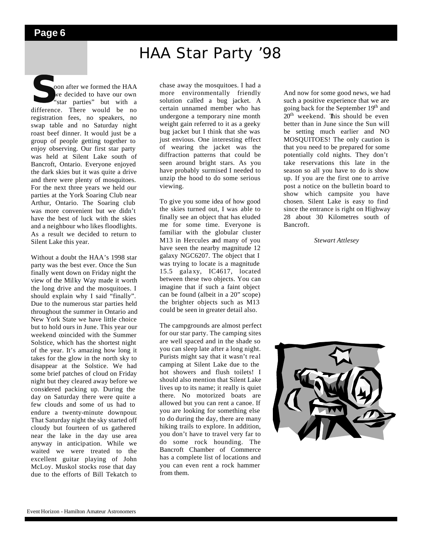# HAA Star Party '98

**S**soon after we formed the HAA
we decided to have our own<br>
"star parties" but with a<br>
difference. There would be no oon after we formed the HAA we decided to have our own "star parties" but with a registration fees, no speakers, no swap table and no Saturday night roast beef dinner. It would just be a group of people getting together to enjoy observing. Our first star party was held at Silent Lake south of Bancroft, Ontario. Everyone enjoyed the dark skies but it was quite a drive and there were plenty of mosquitoes. For the next three years we held our parties at the York Soaring Club near Arthur, Ontario. The Soaring club was more convenient but we didn't have the best of luck with the skies and a neighbour who likes floodlights. As a result we decided to return to Silent Lake this year.

Without a doubt the HAA's 1998 star party was the best ever. Once the Sun finally went down on Friday night the view of the Milky Way made it worth the long drive and the mosquitoes. I should explain why I said "finally". Due to the numerous star parties held throughout the summer in Ontario and New York State we have little choice but to hold ours in June. This year our weekend coincided with the Summer Solstice, which has the shortest night of the year. It's amazing how long it takes for the glow in the north sky to disappear at the Solstice. We had some brief patches of cloud on Friday night but they cleared away before we considered packing up. During the day on Saturday there were quite a few clouds and some of us had to endure a twenty-minute downpour. That Saturday night the sky started off cloudy but fourteen of us gathered near the lake in the day use area anyway in anticipation. While we waited we were treated to the excellent guitar playing of John McLoy. Muskol stocks rose that day due to the efforts of Bill Tekatch to

chase away the mosquitoes. I had a more environmentally friendly solution called a bug jacket. A certain unnamed member who has undergone a temporary nine month weight gain referred to it as a geeky bug jacket but I think that she was just envious. One interesting effect of wearing the jacket was the diffraction patterns that could be seen around bright stars. As you have probably surmised I needed to unzip the hood to do some serious viewing.

To give you some idea of how good the skies turned out, I was able to finally see an object that has eluded me for some time. Everyone is familiar with the globular cluster M13 in Hercules and many of you have seen the nearby magnitude 12 galaxy NGC6207. The object that I was trying to locate is a magnitude 15.5 gala xy, IC4617, located between these two objects. You can imagine that if such a faint object can be found (albeit in a 20" scope) the brighter objects such as M13 could be seen in greater detail also.

The campgrounds are almost perfect for our star party. The camping sites are well spaced and in the shade so you can sleep late after a long night. Purists might say that it wasn't real camping at Silent Lake due to the hot showers and flush toilets! I should also mention that Silent Lake lives up to its name; it really is quiet there. No motorized boats are allowed but you can rent a canoe. If you are looking for something else to do during the day, there are many hiking trails to explore. In addition, you don't have to travel very far to do some rock hounding. The Bancroft Chamber of Commerce has a complete list of locations and you can even rent a rock hammer from them.

And now for some good news, we had such a positive experience that we are going back for the September 19<sup>th</sup> and 20<sup>th</sup> weekend. This should be even better than in June since the Sun will be setting much earlier and NO MOSQUITOES! The only caution is that you need to be prepared for some potentially cold nights. They don't take reservations this late in the season so all you have to do is show up. If you are the first one to arrive post a notice on the bulletin board to show which campsite you have chosen. Silent Lake is easy to find since the entrance is right on Highway 28 about 30 Kilometres south of Bancroft.

*Stewart Attlesey*